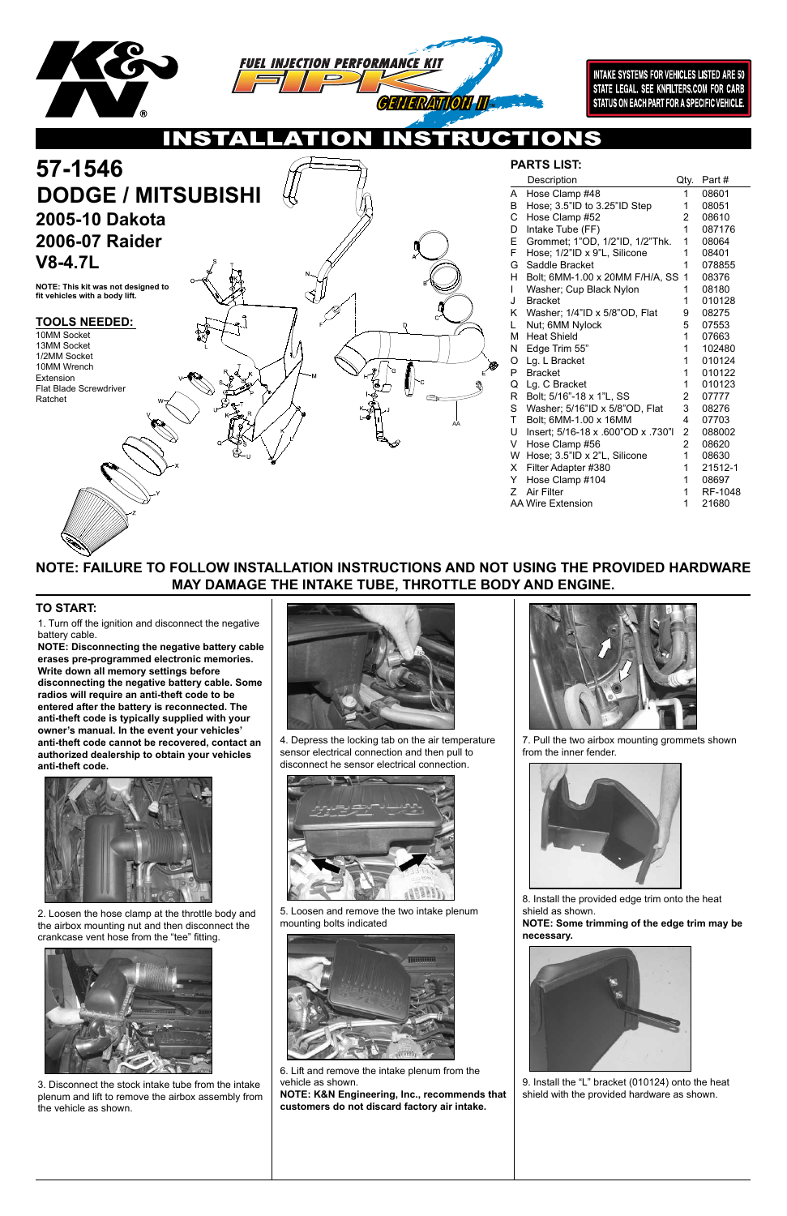



**INTAKE SYSTEMS FOR VEHICLES LISTED ARE 50** STATE LEGAL. SEE KNFILTERS.COM FOR CARB STATUS ON EACH PART FOR A SPECIFIC VEHICLE.

NS.  $\overline{\mathbf{O}}$  $\bullet$ 

AA

# **NOTE: FAILURE TO FOLLOW INSTALLATION INSTRUCTIONS AND NOT USING THE PROVIDED HARDWARE MAY DAMAGE THE INTAKE TUBE, THROTTLE BODY AND ENGINE.**

1. Turn off the ignition and disconnect the negative battery cable.

| 57-1546<br><b>DODGE / MITSUBISHI</b>                                 |    |   |   |
|----------------------------------------------------------------------|----|---|---|
| 2005-10 Dakota                                                       |    |   |   |
| 2006-07 Raider                                                       |    |   |   |
| $V8-4.7L$                                                            |    |   |   |
| NOTE: This kit was not designed to<br>fit vehicles with a body lift. |    |   | R |
| <b>TOOLS NEEDED:</b>                                                 | €. |   |   |
| 10MM Socket                                                          |    |   |   |
| 13MM Socket                                                          |    |   |   |
| 1/2MM Socket                                                         |    |   |   |
| 10MM Wrench                                                          | R. | ଛ |   |

**NOTE: Disconnecting the negative battery cable erases pre-programmed electronic memories. Write down all memory settings before disconnecting the negative battery cable. Some radios will require an anti-theft code to be entered after the battery is reconnected. The anti-theft code is typically supplied with your owner's manual. In the event your vehicles' anti-theft code cannot be recovered, contact an authorized dealership to obtain your vehicles anti-theft code.**





### **TO START:**

## **PARTS LIST:**

Extension

Flat Blade Screwdriver

Ratchet

|             | Description                        | Qty.           | Part #  |
|-------------|------------------------------------|----------------|---------|
| A           | Hose Clamp #48                     | 1              | 08601   |
| B           | Hose; 3.5"ID to 3.25"ID Step       | 1              | 08051   |
| $\mathsf C$ | Hose Clamp #52                     | 2              | 08610   |
| D           | Intake Tube (FF)                   | 1              | 087176  |
| E           | Grommet; 1"OD, 1/2"ID, 1/2"Thk.    | 1              | 08064   |
| F           | Hose; 1/2"ID x 9"L, Silicone       | 1              | 08401   |
| G           | Saddle Bracket                     | 1              | 078855  |
| н           | Bolt; 6MM-1.00 x 20MM F/H/A, SS    | 1              | 08376   |
| L           | Washer; Cup Black Nylon            | 1              | 08180   |
| J           | <b>Bracket</b>                     | 1              | 010128  |
| Κ           | Washer; 1/4"ID x 5/8"OD, Flat      | 9              | 08275   |
| L           | Nut; 6MM Nylock                    | 5              | 07553   |
| M           | <b>Heat Shield</b>                 | 1              | 07663   |
| N           | Edge Trim 55"                      | 1              | 102480  |
| O           | Lg. L Bracket                      | 1              | 010124  |
| P           | <b>Bracket</b>                     | 1              | 010122  |
| Q           | Lg. C Bracket                      | 1              | 010123  |
| R           | Bolt; 5/16"-18 x 1"L, SS           | 2              | 07777   |
| S           | Washer; 5/16"ID x 5/8"OD, Flat     | 3              | 08276   |
| T           | Bolt; 6MM-1.00 x 16MM              | 4              | 07703   |
| U           | Insert; 5/16-18 x .600"OD x .730"I | 2              | 088002  |
| V           | Hose Clamp #56                     | $\overline{2}$ | 08620   |
| W           | Hose; 3.5"ID x 2"L, Silicone       | 1              | 08630   |
| X           | Filter Adapter #380                | 1              | 21512-1 |
| Y           | Hose Clamp #104                    | 1              | 08697   |
| Ζ           | <b>Air Filter</b>                  | 1              | RF-1048 |
|             | AA Wire Extension                  | 1              | 21680   |

2. Loosen the hose clamp at the throttle body and the airbox mounting nut and then disconnect the crankcase vent hose from the "tee" fitting.



3. Disconnect the stock intake tube from the intake plenum and lift to remove the airbox assembly from the vehicle as shown.

4. Depress the locking tab on the air temperature sensor electrical connection and then pull to disconnect he sensor electrical connection.





5. Loosen and remove the two intake plenum mounting bolts indicated



6. Lift and remove the intake plenum from the vehicle as shown.

**NOTE: K&N Engineering, Inc., recommends that customers do not discard factory air intake.**

7. Pull the two airbox mounting grommets shown from the inner fender.



8. Install the provided edge trim onto the heat shield as shown.

**NOTE: Some trimming of the edge trim may be necessary.**



9. Install the "L" bracket (010124) onto the heat shield with the provided hardware as shown.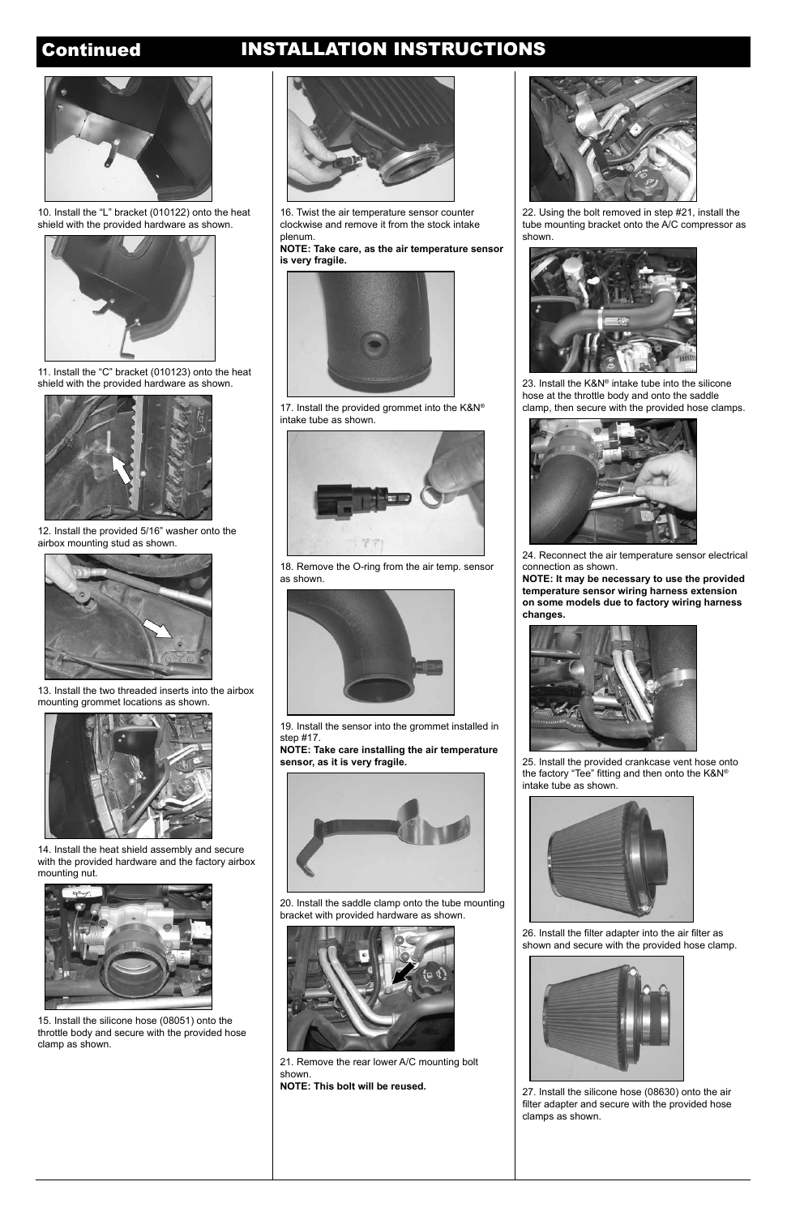# Continued INSTALLATION INSTRUCTIONS



11. Install the "C" bracket (010123) onto the heat shield with the provided hardware as shown.



12. Install the provided 5/16" washer onto the airbox mounting stud as shown.



13. Install the two threaded inserts into the airbox mounting grommet locations as shown.



14. Install the heat shield assembly and secure with the provided hardware and the factory airbox mounting nut.



15. Install the silicone hose (08051) onto the throttle body and secure with the provided hose clamp as shown.

16. Twist the air temperature sensor counter clockwise and remove it from the stock intake plenum.

**NOTE: Take care, as the air temperature sensor is very fragile.**



17. Install the provided grommet into the K&N® intake tube as shown.



18. Remove the O-ring from the air temp. sensor as shown.



19. Install the sensor into the grommet installed in step #17.

**NOTE: Take care installing the air temperature sensor, as it is very fragile.**



20. Install the saddle clamp onto the tube mounting bracket with provided hardware as shown.



21. Remove the rear lower A/C mounting bolt shown. **NOTE: This bolt will be reused.**



22. Using the bolt removed in step #21, install the tube mounting bracket onto the A/C compressor as shown.



23. Install the K&N® intake tube into the silicone hose at the throttle body and onto the saddle clamp, then secure with the provided hose clamps.



24. Reconnect the air temperature sensor electrical connection as shown.

**NOTE: It may be necessary to use the provided temperature sensor wiring harness extension on some models due to factory wiring harness changes.**



25. Install the provided crankcase vent hose onto the factory "Tee" fitting and then onto the K&N® intake tube as shown.





26. Install the filter adapter into the air filter as shown and secure with the provided hose clamp.



27. Install the silicone hose (08630) onto the air filter adapter and secure with the provided hose clamps as shown.



10. Install the "L" bracket (010122) onto the heat shield with the provided hardware as shown.